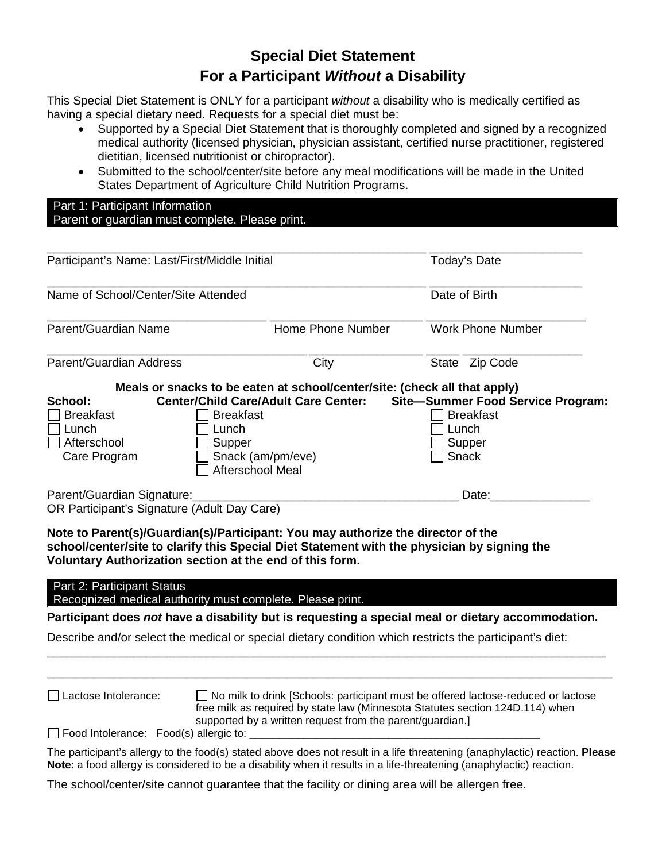# **Special Diet Statement For a Participant** *Without* **a Disability**

 This Special Diet Statement is ONLY for a participant *without* a disability who is medically certified as having a special dietary need. Requests for a special diet must be:

- Supported by a Special Diet Statement that is thoroughly completed and signed by a recognized medical authority (licensed physician, physician assistant, certified nurse practitioner, registered dietitian, licensed nutritionist or chiropractor).
- Submitted to the school/center/site before any meal modifications will be made in the United States Department of Agriculture Child Nutrition Programs.

| Part 1: Participant Information                 |  |
|-------------------------------------------------|--|
| Parent or guardian must complete. Please print. |  |
|                                                 |  |

| Participant's Name: Last/First/Middle Initial |                                       |                                                                           | Today's Date                                                                               |  |
|-----------------------------------------------|---------------------------------------|---------------------------------------------------------------------------|--------------------------------------------------------------------------------------------|--|
| Name of School/Center/Site Attended           |                                       |                                                                           | Date of Birth                                                                              |  |
| Parent/Guardian Name                          |                                       | Home Phone Number                                                         | Work Phone Number                                                                          |  |
| Parent/Guardian Address                       |                                       | City                                                                      | State Zip Code                                                                             |  |
|                                               |                                       | Meals or snacks to be eaten at school/center/site: (check all that apply) |                                                                                            |  |
| School:                                       |                                       |                                                                           | Center/Child Care/Adult Care Center: Site-Summer Food Service Program:<br><b>Breakfast</b> |  |
| <b>Breakfast</b><br>Lunch                     | <b>Breakfast</b><br>Lunch             |                                                                           | Lunch                                                                                      |  |
| Afterschool                                   | Supper                                |                                                                           | Supper                                                                                     |  |
| Care Program                                  | Snack (am/pm/eve)<br>Afterschool Meal |                                                                           | Snack                                                                                      |  |
| Parent/Guardian Signature:                    |                                       |                                                                           | Date:                                                                                      |  |
| OR Participant's Signature (Adult Day Care)   |                                       |                                                                           |                                                                                            |  |

 **Voluntary Authorization section at the end of this form. Note to Parent(s)/Guardian(s)/Participant: You may authorize the director of the school/center/site to clarify this Special Diet Statement with the physician by signing the** 

Part 2: Participant Status

Recognized medical authority must complete. Please print.

 **Participant does** *not* **have a disability but is requesting a special meal or dietary accommodation.** 

\_\_\_\_\_\_\_\_\_\_\_\_\_\_\_\_\_\_\_\_\_\_\_\_\_\_\_\_\_\_\_\_\_\_\_\_\_\_\_\_\_\_\_\_\_\_\_\_\_\_\_\_\_\_\_\_\_\_\_\_\_\_\_\_\_\_\_\_\_\_\_\_\_\_\_\_\_\_\_\_\_\_\_\_ \_\_\_\_\_\_\_\_\_\_\_\_\_\_\_\_\_\_\_\_\_\_\_\_\_\_\_\_\_\_\_\_\_\_\_\_\_\_\_\_\_\_\_\_\_\_\_\_\_\_\_\_\_\_\_\_\_\_\_\_\_\_\_\_\_\_\_\_\_\_\_\_\_\_\_\_\_\_\_\_\_\_\_\_\_

Describe and/or select the medical or special dietary condition which restricts the participant's diet:

Lactose Intolerance:

 $\Box$  No milk to drink [Schools: participant must be offered lactose-reduced or lactose free milk as required by state law (Minnesota Statutes section 124D.114) when supported by a written request from the parent/guardian.]

 $\Box$  Food Intolerance: Food(s) allergic to:

The participant's allergy to the food(s) stated above does not result in a life threatening (anaphylactic) reaction. **Please Note**: a food allergy is considered to be a disability when it results in a life-threatening (anaphylactic) reaction.

The school/center/site cannot guarantee that the facility or dining area will be allergen free.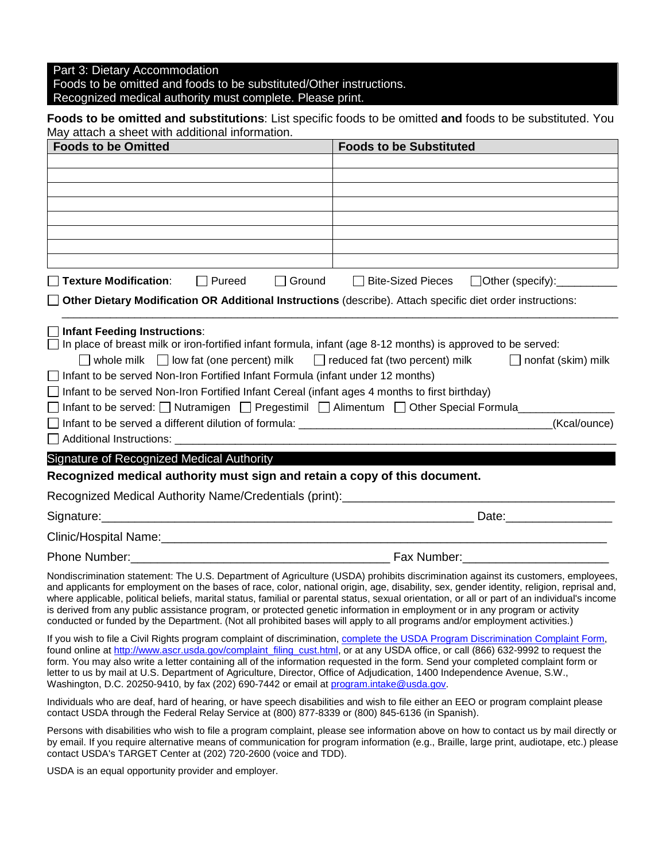Part 3: Dietary Accommodation

Foods to be omitted and foods to be substituted/Other instructions.

Recognized medical authority must complete. Please print.

#### **Foods to be omitted and substitutions**: List specific foods to be omitted **and** foods to be substituted. You May attach a sheet with additional information.

| <b>Foods to be Omitted</b>                                                                                                                                                                                                                                                                                                                                                                                                                                                                                                              | <b>Foods to be Substituted</b>                                                                                                                                                                                                                                                                                                                                                                                                    |
|-----------------------------------------------------------------------------------------------------------------------------------------------------------------------------------------------------------------------------------------------------------------------------------------------------------------------------------------------------------------------------------------------------------------------------------------------------------------------------------------------------------------------------------------|-----------------------------------------------------------------------------------------------------------------------------------------------------------------------------------------------------------------------------------------------------------------------------------------------------------------------------------------------------------------------------------------------------------------------------------|
|                                                                                                                                                                                                                                                                                                                                                                                                                                                                                                                                         |                                                                                                                                                                                                                                                                                                                                                                                                                                   |
|                                                                                                                                                                                                                                                                                                                                                                                                                                                                                                                                         |                                                                                                                                                                                                                                                                                                                                                                                                                                   |
|                                                                                                                                                                                                                                                                                                                                                                                                                                                                                                                                         |                                                                                                                                                                                                                                                                                                                                                                                                                                   |
|                                                                                                                                                                                                                                                                                                                                                                                                                                                                                                                                         |                                                                                                                                                                                                                                                                                                                                                                                                                                   |
|                                                                                                                                                                                                                                                                                                                                                                                                                                                                                                                                         |                                                                                                                                                                                                                                                                                                                                                                                                                                   |
|                                                                                                                                                                                                                                                                                                                                                                                                                                                                                                                                         |                                                                                                                                                                                                                                                                                                                                                                                                                                   |
| □ Texture Modification:<br>$\Box$ Pureed<br>$\Box$ Ground                                                                                                                                                                                                                                                                                                                                                                                                                                                                               | □ Bite-Sized Pieces □ Other (specify):                                                                                                                                                                                                                                                                                                                                                                                            |
| Other Dietary Modification OR Additional Instructions (describe). Attach specific diet order instructions:                                                                                                                                                                                                                                                                                                                                                                                                                              |                                                                                                                                                                                                                                                                                                                                                                                                                                   |
| $\Box$ whole milk $\Box$ low fat (one percent) milk $\Box$ reduced fat (two percent) milk<br>$\Box$ Infant to be served Non-Iron Fortified Infant Formula (infant under 12 months)<br>$\Box$ Infant to be served Non-Iron Fortified Infant Cereal (infant ages 4 months to first birthday)<br>$\Box$ Infant to be served: $\Box$ Nutramigen $\Box$ Pregestimil $\Box$ Alimentum $\Box$ Other Special Formula<br>Signature of Recognized Medical Authority<br>Recognized medical authority must sign and retain a copy of this document. | $\Box$ nonfat (skim) milk<br>(Kcal/ounce)                                                                                                                                                                                                                                                                                                                                                                                         |
| Recognized Medical Authority Name/Credentials (print): Network and the control of the control of the control o                                                                                                                                                                                                                                                                                                                                                                                                                          |                                                                                                                                                                                                                                                                                                                                                                                                                                   |
|                                                                                                                                                                                                                                                                                                                                                                                                                                                                                                                                         | Date: <u>Date:</u>                                                                                                                                                                                                                                                                                                                                                                                                                |
|                                                                                                                                                                                                                                                                                                                                                                                                                                                                                                                                         |                                                                                                                                                                                                                                                                                                                                                                                                                                   |
|                                                                                                                                                                                                                                                                                                                                                                                                                                                                                                                                         | Phone Number: 2000 Communication Communication Communication Communication Communication Communication Communi                                                                                                                                                                                                                                                                                                                    |
| is derived from any public assistance program, or protected genetic information in employment or in any program or activity<br>conducted or funded by the Department. (Not all prohibited bases will apply to all programs and/or employment activities.)                                                                                                                                                                                                                                                                               | Nondiscrimination statement: The U.S. Department of Agriculture (USDA) prohibits discrimination against its customers, employees,<br>and applicants for employment on the bases of race, color, national origin, age, disability, sex, gender identity, religion, reprisal and,<br>where applicable, political beliefs, marital status, familial or parental status, sexual orientation, or all or part of an individual's income |
| the contract of the con-                                                                                                                                                                                                                                                                                                                                                                                                                                                                                                                |                                                                                                                                                                                                                                                                                                                                                                                                                                   |

If you wish to file a Civil Rights program complaint of discrimination, [complete the USDA Program Discrimination Complaint Form,](http://www.ocio.usda.gov/sites/default/files/docs/2012/Complain_combined_6_8_12.pdf) found online a[t http://www.ascr.usda.gov/complaint\\_filing\\_cust.html,](http://www.ascr.usda.gov/complaint_filing_cust.html) or at any USDA office, or call (866) 632-9992 to request the form. You may also write a letter containing all of the information requested in the form. Send your completed complaint form or letter to us by mail at U.S. Department of Agriculture, Director, Office of Adjudication, 1400 Independence Avenue, S.W., Washington, D.C. 20250-9410, by fax (202) 690-7442 or email at [program.intake@usda.gov.](mailto:program.intake@usda.gov)

Individuals who are deaf, hard of hearing, or have speech disabilities and wish to file either an EEO or program complaint please contact USDA through the Federal Relay Service at (800) 877-8339 or (800) 845-6136 (in Spanish).

 by email. If you require alternative means of communication for program information (e.g., Braille, large print, audiotape, etc.) please Persons with disabilities who wish to file a program complaint, please see information above on how to contact us by mail directly or contact USDA's TARGET Center at (202) 720-2600 (voice and TDD).

USDA is an equal opportunity provider and employer.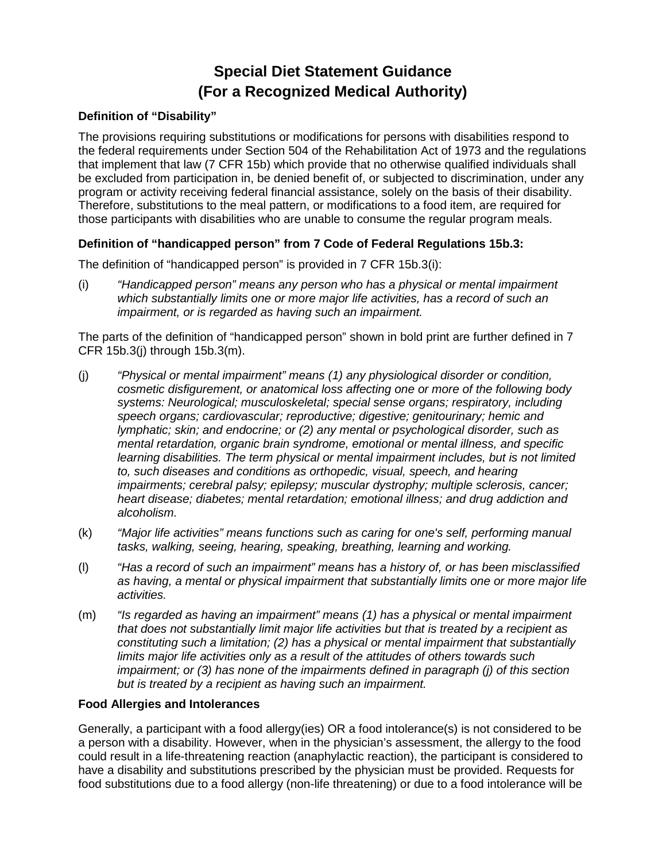# **Special Diet Statement Guidance (For a Recognized Medical Authority)**

#### **Definition of "Disability"**

 program or activity receiving federal financial assistance, solely on the basis of their disability. Therefore, substitutions to the meal pattern, or modifications to a food item, are required for those participants with disabilities who are unable to consume the regular program meals. The provisions requiring substitutions or modifications for persons with disabilities respond to the federal requirements under Section 504 of the Rehabilitation Act of 1973 and the regulations that implement that law (7 CFR 15b) which provide that no otherwise qualified individuals shall be excluded from participation in, be denied benefit of, or subjected to discrimination, under any

#### **Definition of "handicapped person" from 7 Code of Federal Regulations 15b.3:**

The definition of "handicapped person" is provided in 7 CFR 15b.3(i):

(i) *"Handicapped person" means any person who has a physical or mental impairment which substantially limits one or more major life activities, has a record of such an impairment, or is regarded as having such an impairment.* 

The parts of the definition of "handicapped person" shown in bold print are further defined in 7 CFR 15b.3(j) through 15b.3(m).

- *heart disease; diabetes; mental retardation; emotional illness; and drug addiction and*  (j) *"Physical or mental impairment" means (1) any physiological disorder or condition, cosmetic disfigurement, or anatomical loss affecting one or more of the following body systems: Neurological; musculoskeletal; special sense organs; respiratory, including speech organs; cardiovascular; reproductive; digestive; genitourinary; hemic and lymphatic; skin; and endocrine; or (2) any mental or psychological disorder, such as mental retardation, organic brain syndrome, emotional or mental illness, and specific*  learning disabilities. The term physical or mental impairment includes, but is not limited *to, such diseases and conditions as orthopedic, visual, speech, and hearing impairments; cerebral palsy; epilepsy; muscular dystrophy; multiple sclerosis, cancer; alcoholism.*
- (k) *"Major life activities" means functions such as caring for one's self, performing manual tasks, walking, seeing, hearing, speaking, breathing, learning and working.*
- (l) *"Has a record of such an impairment" means has a history of, or has been misclassified as having, a mental or physical impairment that substantially limits one or more major life activities.*
- limits major life activities only as a result of the attitudes of others towards such (m) *"Is regarded as having an impairment" means (1) has a physical or mental impairment that does not substantially limit major life activities but that is treated by a recipient as constituting such a limitation; (2) has a physical or mental impairment that substantially impairment; or (3) has none of the impairments defined in paragraph (j) of this section but is treated by a recipient as having such an impairment.*

#### **Food Allergies and Intolerances**

 a person with a disability. However, when in the physician's assessment, the allergy to the food have a disability and substitutions prescribed by the physician must be provided. Requests for food substitutions due to a food allergy (non-life threatening) or due to a food intolerance will be Generally, a participant with a food allergy(ies) OR a food intolerance(s) is not considered to be could result in a life-threatening reaction (anaphylactic reaction), the participant is considered to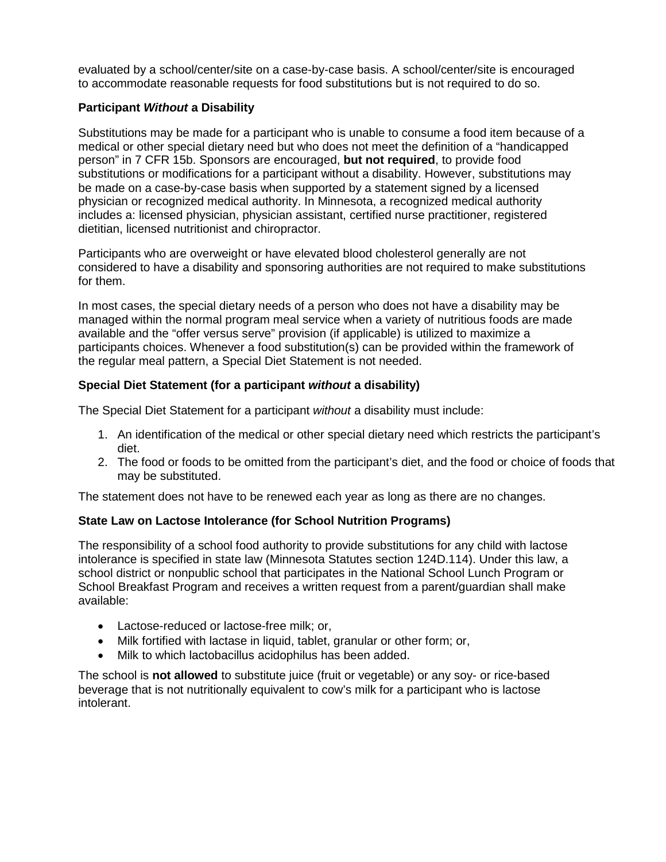to accommodate reasonable requests for food substitutions but is not required to do so. evaluated by a school/center/site on a case-by-case basis. A school/center/site is encouraged

### **Participant** *Without* **a Disability**

 substitutions or modifications for a participant without a disability. However, substitutions may Substitutions may be made for a participant who is unable to consume a food item because of a medical or other special dietary need but who does not meet the definition of a "handicapped person" in 7 CFR 15b. Sponsors are encouraged, **but not required**, to provide food be made on a case-by-case basis when supported by a statement signed by a licensed physician or recognized medical authority. In Minnesota, a recognized medical authority includes a: licensed physician, physician assistant, certified nurse practitioner, registered dietitian, licensed nutritionist and chiropractor.

Participants who are overweight or have elevated blood cholesterol generally are not considered to have a disability and sponsoring authorities are not required to make substitutions for them.

 managed within the normal program meal service when a variety of nutritious foods are made In most cases, the special dietary needs of a person who does not have a disability may be available and the "offer versus serve" provision (if applicable) is utilized to maximize a participants choices. Whenever a food substitution(s) can be provided within the framework of the regular meal pattern, a Special Diet Statement is not needed.

## **Special Diet Statement (for a participant** *without* **a disability)**

The Special Diet Statement for a participant *without* a disability must include:

- 1. An identification of the medical or other special dietary need which restricts the participant's diet.
- 2. The food or foods to be omitted from the participant's diet, and the food or choice of foods that may be substituted.

The statement does not have to be renewed each year as long as there are no changes.

### **State Law on Lactose Intolerance (for School Nutrition Programs)**

 School Breakfast Program and receives a written request from a parent/guardian shall make The responsibility of a school food authority to provide substitutions for any child with lactose intolerance is specified in state law (Minnesota Statutes section 124D.114). Under this law, a school district or nonpublic school that participates in the National School Lunch Program or available:

- Lactose-reduced or lactose-free milk; or,
- Milk fortified with lactase in liquid, tablet, granular or other form; or,
- Milk to which lactobacillus acidophilus has been added.

The school is **not allowed** to substitute juice (fruit or vegetable) or any soy- or rice-based beverage that is not nutritionally equivalent to cow's milk for a participant who is lactose intolerant.